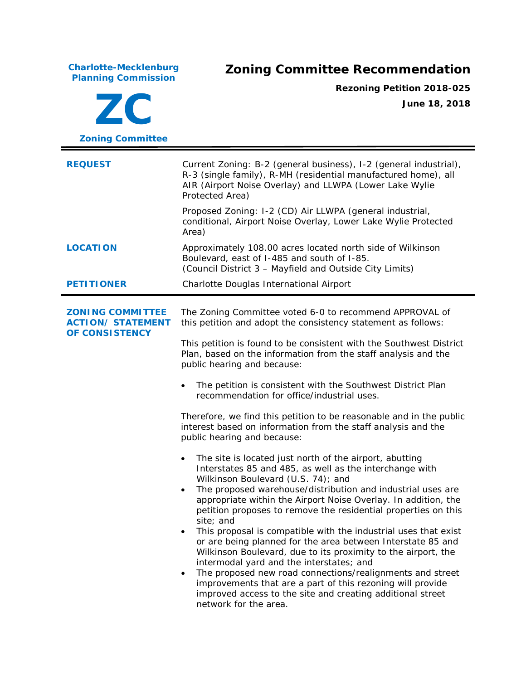**Charlotte-Mecklenburg**

## **Planning Commission Zoning Committee Recommendation**

**ZC Zoning Committee** **Rezoning Petition 2018-025 June 18, 2018**

**REQUEST** Current Zoning: B-2 (general business), I-2 (general industrial), R-3 (single family), R-MH (residential manufactured home), all AIR (Airport Noise Overlay) and LLWPA (Lower Lake Wylie Protected Area) Proposed Zoning: I-2 (CD) Air LLWPA (general industrial, conditional, Airport Noise Overlay, Lower Lake Wylie Protected Area) **LOCATION** Approximately 108.00 acres located north side of Wilkinson Boulevard, east of I-485 and south of I-85. (Council District 3 – Mayfield and Outside City Limits) **PETITIONER** Charlotte Douglas International Airport **ZONING COMMITTEE ACTION/ STATEMENT OF CONSISTENCY** The Zoning Committee voted 6-0 to recommend APPROVAL of this petition and adopt the consistency statement as follows: This petition is found to be consistent with the *Southwest District Plan,* based on the information from the staff analysis and the public hearing and because: • The petition is consistent with the *Southwest District Plan* recommendation for office/industrial uses. Therefore, we find this petition to be reasonable and in the public interest based on information from the staff analysis and the public hearing and because: The site is located just north of the airport, abutting Interstates 85 and 485, as well as the interchange with Wilkinson Boulevard (U.S. 74); and • The proposed warehouse/distribution and industrial uses are appropriate within the Airport Noise Overlay. In addition, the petition proposes to remove the residential properties on this site; and • This proposal is compatible with the industrial uses that exist or are being planned for the area between Interstate 85 and

> intermodal yard and the interstates; and The proposed new road connections/realignments and street improvements that are a part of this rezoning will provide improved access to the site and creating additional street network for the area.

Wilkinson Boulevard, due to its proximity to the airport, the